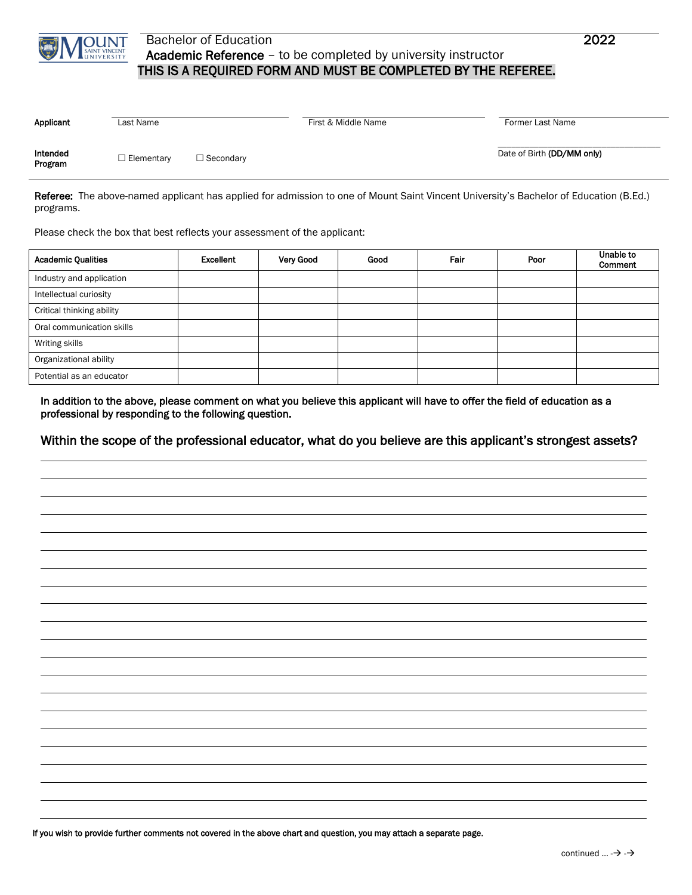

## Bachelor of Education 2022 Academic Reference – to be completed by university instructor THIS IS A REQUIRED FORM AND MUST BE COMPLETED BY THE REFEREE.

| Applicant           | Last Name         |                  | First & Middle Name | Former Last Name           |
|---------------------|-------------------|------------------|---------------------|----------------------------|
| Intended<br>Program | $\Box$ Elementary | $\Box$ Secondary |                     | Date of Birth (DD/MM only) |

Referee: The above-named applicant has applied for admission to one of Mount Saint Vincent University's Bachelor of Education (B.Ed.) programs.

Please check the box that best reflects your assessment of the applicant:

| <b>Academic Qualities</b> | Excellent | Very Good | Good | Fair | Poor | Unable to<br>Comment |
|---------------------------|-----------|-----------|------|------|------|----------------------|
| Industry and application  |           |           |      |      |      |                      |
| Intellectual curiosity    |           |           |      |      |      |                      |
| Critical thinking ability |           |           |      |      |      |                      |
| Oral communication skills |           |           |      |      |      |                      |
| Writing skills            |           |           |      |      |      |                      |
| Organizational ability    |           |           |      |      |      |                      |
| Potential as an educator  |           |           |      |      |      |                      |

In addition to the above, please comment on what you believe this applicant will have to offer the field of education as a professional by responding to the following question.

## Within the scope of the professional educator, what do you believe are this applicant's strongest assets?